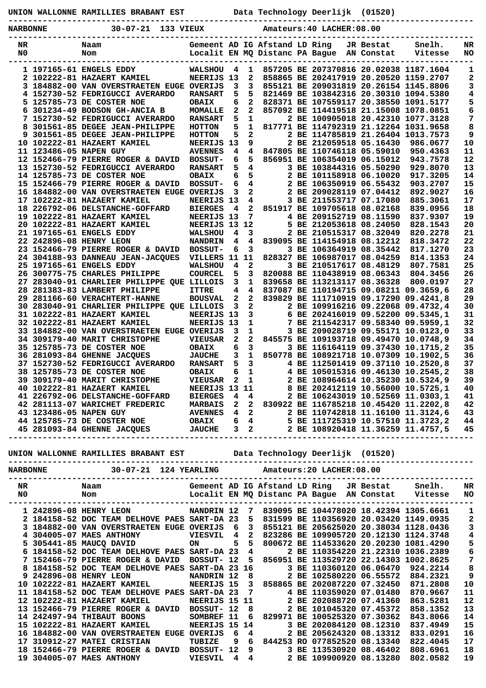**UNION WALLONNE RAMILLIES BRABANT EST Data Technology Deerlijk (01520)**

**NARBONNE 30-07-21 133 VIEUX Amateurs:40 LACHER:08.00**

**-----------------------------------------------------------------------------------------------**

| 857205 BE 207370816 20.02038 1187.1604<br>1 197165-61 ENGELS EDDY<br><b>WALSHOU</b><br>4<br>1<br>1<br>$\mathbf{2}$<br>$\mathbf{2}$<br>NEERIJS 13<br>858865 BE 202417919 20.20520 1159.2707<br>2 102222-81 HAZAERT KAMIEL<br>3<br>3<br>3 184882-00 VAN OVERSTRAETEN EUGE OVERIJS<br>3<br>855121 BE 209031819 20.26154 1145.8806<br>5<br>821469 BE 103842316 20.30310 1094.5380<br>4<br>4 152730-52 FEDRIGUCCI AVERARDO<br><b>RANSART</b><br>5<br>$\overline{2}$<br>5<br>5 125785-73 DE COSTER NOE<br>6<br>828371 BE 107559117 20.38550 1091.5177<br><b>OBAIX</b><br>$\overline{a}$<br>6<br>$\overline{a}$<br>857092 BE 114419518 21.15008 1078.0851<br>6 301234-49 BODSON GH-ANCIA B<br>MOMALLE<br>5<br>7<br>$\mathbf{1}$<br>2 BE 100905018 20.42310 1077.3128<br>7 152730-52 FEDRIGUCCI AVERARDO<br><b>RANSART</b><br>8<br>5<br>$\mathbf{1}$<br>817771 BE 114792319 21.12264 1031.9658<br>8<br>301561-85 DEGEE JEAN-PHILIPPE<br><b>HOTTON</b><br>$\overline{a}$<br>9<br>5<br>2 BE 114785819 21.26404 1013.7573<br>9<br>301561-85 DEGEE JEAN-PHILIPPE<br>HOTTON<br>NEERIJS 13<br>9<br>2 BE 212059518 05.16430<br>10<br>10 102222-81 HAZAERT KAMIEL<br>986.0677<br>4<br>11<br>4<br>847805 BE 110746118 05.59010<br>11 123486-05 NAPEN GUY<br><b>AVENNES</b><br>950.4363<br>5<br>12<br>6<br>856951 BE 106354019 06.15012<br>12 152466-79 PIERRE ROGER & DAVID<br><b>BOSSUT-</b><br>943.7578<br>5<br>4<br>3 BE 103844316 05.50290<br>13<br>13 152730-52 FEDRIGUCCI AVERARDO<br><b>RANSART</b><br>929.8070<br>5<br>6<br>14<br>14 125785-73 DE COSTER NOE<br>2 BE 101158918 06.10020<br>917.3205<br><b>OBAIX</b><br>4<br>6<br>15 152466-79 PIERRE ROGER & DAVID<br>2 BE 106350919 06.55432<br>15<br><b>BOSSUT-</b><br>903.2707<br>$\overline{\mathbf{2}}$<br>3<br>16<br>16 184882-00 VAN OVERSTRAETEN EUGE OVERIJS<br>2 BE 209028119 07.04412<br>892.9027<br>$\overline{\mathbf{4}}$<br>17 102222-81 HAZAERT KAMIEL<br>NEERIJS 13<br>3 BE 211553717 07.17080<br>885.3061<br>17<br>$\overline{a}$<br>4<br>18<br>18 226792-06 DELSTANCHE-GOFFARD<br>851917 BE 109705618 08.02168<br><b>BIERGES</b><br>839.0956<br>7<br>19<br>NEERIJS 13<br>4 BE 209152719 08.11590<br>19 102222-81 HAZAERT KAMIEL<br>837.9307<br>NEERIJS 13 12<br>20<br>20 102222-81 HAZAERT KAMIEL<br>5 BE 212053618 08.24050<br>828.1543<br>3<br>21<br>21 197165-61 ENGELS EDDY<br>4<br>2 BE 210515317 08.32049<br>820.2278<br><b>WALSHOU</b><br>22<br>22 242896-08 HENRY LEON<br>4<br>4<br>839095 BE 114154918 08.12212<br>818.3472<br><b>NANDRIN</b><br>3<br>23<br>23 152466-79 PIERRE ROGER & DAVID<br><b>BOSSUT-</b><br>6<br>3 BE 106364919 08.35442<br>817.1270<br>24<br>24 304188-93 DANNEAU JEAN-JACQUES<br>VILLERS 11 11<br>828327 BE 106987017 08.04259<br>814.1353<br>$\overline{2}$<br>25 197165-61 ENGELS EDDY<br>4<br>3 BE 210517617 08.48129<br>807.7581<br>25<br><b>WALSHOU</b><br>5<br>3<br>26<br>26 300775-75 CHARLES PHILIPPE<br><b>COURCEL</b><br>820088 BE 110438919 08.06343<br>804.3456<br>3<br>$\mathbf{1}$<br>27<br>27 283040-91 CHARLIER PHILIPPE QUE LILLOIS<br>839658 BE 113213117 08.36328<br>800.0197<br>4<br>4<br>28<br>28 281383-83 LAMBERT PHILIPPE<br>837087 BE 110194715 09.08211 09.3659,6<br><b>ITTRE</b><br>$\overline{2}$<br>$\overline{a}$<br>29<br>839829 BE 111710919 09.17290 09.4241,8<br>29 281166-60 VERACHTERT-HANNE<br><b>BOUSVAL</b><br>$\overline{a}$<br>3<br>30<br>30 283040-91 CHARLIER PHILIPPE QUE LILLOIS<br>2 BE 109916216 09.22068 09.4732,4<br>$\mathbf{3}$<br>31<br>NEERIJS 13<br>6 BE 202416019 09.52200 09.5345,1<br>31 102222-81 HAZAERT KAMIEL<br>$\mathbf{1}$<br>32<br>NEERIJS 13<br>7 BE 211542317 09.58340 09.5959,1<br>32 102222-81 HAZAERT KAMIEL<br>$\mathbf{1}$<br>33<br>33 184882-00 VAN OVERSTRAETEN EUGE OVERIJS<br>3<br>3 BE 209028719 09.55171 10.0123,0<br>$\overline{a}$<br>$\mathbf{2}$<br>34<br>845575 BE 109193718 09.49470 10.0748,9<br>34 309179-40 MARIT CHRISTOPHE<br><b>VIEUSAR</b><br>$\mathbf{3}$<br>35<br>35 125785-73 DE COSTER NOE<br>6<br>3 BE 116164119 09.37430 10.1715,2<br><b>OBAIX</b><br>$\mathbf{1}$<br>3<br>850778 BE 108921718 10.07309 10.1902,5<br>36<br>36 281093-84 GHENNE JACQUES<br><b>JAUCHE</b><br>3<br>5<br>37<br>37 152730-52 FEDRIGUCCI AVERARDO<br>4 BE 112501419 09.37110 10.2520,8<br><b>RANSART</b><br>$\mathbf{1}$<br>38<br>38 125785-73 DE COSTER NOE<br>6<br>4 BE 105015316 09.46130 10.2545,2<br><b>OBAIX</b><br>$\mathbf{1}$<br>39<br>$\mathbf{2}$<br>39 309179-40 MARIT CHRISTOPHE<br><b>VIEUSAR</b><br>2 BE 108964614 10.35230 10.5324,9<br>40<br>11<br>8 BE 202412119 10.56000 10.5725,1<br>40 102222-81 HAZAERT KAMIEL<br><b>NEERIJS 13</b><br>4<br>41<br>41 226792-06 DELSTANCHE-GOFFARD<br>4<br>2 BE 106243019 10.52569 11.0303,1<br><b>BIERGES</b><br>$\overline{a}$<br>42<br>$\mathbf{2}$<br>830922 BE 116785218 10.45420 11.2202,8<br>42 281113-07 WARICHET FREDERIC<br><b>MARBAIS</b><br>$\overline{a}$<br>43<br>$4^{\circ}$<br>2 BE 110742818 11.16100 11.3124,6<br>43 123486-05 NAPEN GUY<br><b>AVENNES</b><br>6<br>4<br>44<br>44 125785-73 DE COSTER NOE<br>5 BE 111725319 10.57510 11.3723,2<br><b>OBAIX</b><br>$\overline{a}$<br>3<br>2 BE 108920418 11.36259 11.4757,5<br>45<br>45 281093-84 GHENNE JACQUES<br><b>JAUCHE</b> | NR<br>N0 | Naam<br>Nom |  | Gemeent AD IG Afstand LD Ring<br>Localit EN MQ Distanc PA Baque |  | JR Bestat<br>AN Constat | Snelh.<br>Vitesse | NR<br>NO. |
|-------------------------------------------------------------------------------------------------------------------------------------------------------------------------------------------------------------------------------------------------------------------------------------------------------------------------------------------------------------------------------------------------------------------------------------------------------------------------------------------------------------------------------------------------------------------------------------------------------------------------------------------------------------------------------------------------------------------------------------------------------------------------------------------------------------------------------------------------------------------------------------------------------------------------------------------------------------------------------------------------------------------------------------------------------------------------------------------------------------------------------------------------------------------------------------------------------------------------------------------------------------------------------------------------------------------------------------------------------------------------------------------------------------------------------------------------------------------------------------------------------------------------------------------------------------------------------------------------------------------------------------------------------------------------------------------------------------------------------------------------------------------------------------------------------------------------------------------------------------------------------------------------------------------------------------------------------------------------------------------------------------------------------------------------------------------------------------------------------------------------------------------------------------------------------------------------------------------------------------------------------------------------------------------------------------------------------------------------------------------------------------------------------------------------------------------------------------------------------------------------------------------------------------------------------------------------------------------------------------------------------------------------------------------------------------------------------------------------------------------------------------------------------------------------------------------------------------------------------------------------------------------------------------------------------------------------------------------------------------------------------------------------------------------------------------------------------------------------------------------------------------------------------------------------------------------------------------------------------------------------------------------------------------------------------------------------------------------------------------------------------------------------------------------------------------------------------------------------------------------------------------------------------------------------------------------------------------------------------------------------------------------------------------------------------------------------------------------------------------------------------------------------------------------------------------------------------------------------------------------------------------------------------------------------------------------------------------------------------------------------------------------------------------------------------------------------------------------------------------------------------------------------------------------------------------------------------------------------------------------------------------------------------------------------------------------------------------------------------------------------------------------------------------------------------------------------------------------------------------------------------------------------------------------------------------------------------------------------------------------------------------------------------------------------------------------------------------------------------------------------------------------------------------------------------------------------------------------------------------------------------------------------------------------------------------------------------------------------------------------------------------------------------------------------------------------------------------------------------------------------------------------------------------------------------------------------------------------------------|----------|-------------|--|-----------------------------------------------------------------|--|-------------------------|-------------------|-----------|
|                                                                                                                                                                                                                                                                                                                                                                                                                                                                                                                                                                                                                                                                                                                                                                                                                                                                                                                                                                                                                                                                                                                                                                                                                                                                                                                                                                                                                                                                                                                                                                                                                                                                                                                                                                                                                                                                                                                                                                                                                                                                                                                                                                                                                                                                                                                                                                                                                                                                                                                                                                                                                                                                                                                                                                                                                                                                                                                                                                                                                                                                                                                                                                                                                                                                                                                                                                                                                                                                                                                                                                                                                                                                                                                                                                                                                                                                                                                                                                                                                                                                                                                                                                                                                                                                                                                                                                                                                                                                                                                                                                                                                                                                                                                                                                                                                                                                                                                                                                                                                                                                                                                                                                                                                               |          |             |  |                                                                 |  |                         |                   |           |
|                                                                                                                                                                                                                                                                                                                                                                                                                                                                                                                                                                                                                                                                                                                                                                                                                                                                                                                                                                                                                                                                                                                                                                                                                                                                                                                                                                                                                                                                                                                                                                                                                                                                                                                                                                                                                                                                                                                                                                                                                                                                                                                                                                                                                                                                                                                                                                                                                                                                                                                                                                                                                                                                                                                                                                                                                                                                                                                                                                                                                                                                                                                                                                                                                                                                                                                                                                                                                                                                                                                                                                                                                                                                                                                                                                                                                                                                                                                                                                                                                                                                                                                                                                                                                                                                                                                                                                                                                                                                                                                                                                                                                                                                                                                                                                                                                                                                                                                                                                                                                                                                                                                                                                                                                               |          |             |  |                                                                 |  |                         |                   |           |
|                                                                                                                                                                                                                                                                                                                                                                                                                                                                                                                                                                                                                                                                                                                                                                                                                                                                                                                                                                                                                                                                                                                                                                                                                                                                                                                                                                                                                                                                                                                                                                                                                                                                                                                                                                                                                                                                                                                                                                                                                                                                                                                                                                                                                                                                                                                                                                                                                                                                                                                                                                                                                                                                                                                                                                                                                                                                                                                                                                                                                                                                                                                                                                                                                                                                                                                                                                                                                                                                                                                                                                                                                                                                                                                                                                                                                                                                                                                                                                                                                                                                                                                                                                                                                                                                                                                                                                                                                                                                                                                                                                                                                                                                                                                                                                                                                                                                                                                                                                                                                                                                                                                                                                                                                               |          |             |  |                                                                 |  |                         |                   |           |
|                                                                                                                                                                                                                                                                                                                                                                                                                                                                                                                                                                                                                                                                                                                                                                                                                                                                                                                                                                                                                                                                                                                                                                                                                                                                                                                                                                                                                                                                                                                                                                                                                                                                                                                                                                                                                                                                                                                                                                                                                                                                                                                                                                                                                                                                                                                                                                                                                                                                                                                                                                                                                                                                                                                                                                                                                                                                                                                                                                                                                                                                                                                                                                                                                                                                                                                                                                                                                                                                                                                                                                                                                                                                                                                                                                                                                                                                                                                                                                                                                                                                                                                                                                                                                                                                                                                                                                                                                                                                                                                                                                                                                                                                                                                                                                                                                                                                                                                                                                                                                                                                                                                                                                                                                               |          |             |  |                                                                 |  |                         |                   |           |
|                                                                                                                                                                                                                                                                                                                                                                                                                                                                                                                                                                                                                                                                                                                                                                                                                                                                                                                                                                                                                                                                                                                                                                                                                                                                                                                                                                                                                                                                                                                                                                                                                                                                                                                                                                                                                                                                                                                                                                                                                                                                                                                                                                                                                                                                                                                                                                                                                                                                                                                                                                                                                                                                                                                                                                                                                                                                                                                                                                                                                                                                                                                                                                                                                                                                                                                                                                                                                                                                                                                                                                                                                                                                                                                                                                                                                                                                                                                                                                                                                                                                                                                                                                                                                                                                                                                                                                                                                                                                                                                                                                                                                                                                                                                                                                                                                                                                                                                                                                                                                                                                                                                                                                                                                               |          |             |  |                                                                 |  |                         |                   |           |
|                                                                                                                                                                                                                                                                                                                                                                                                                                                                                                                                                                                                                                                                                                                                                                                                                                                                                                                                                                                                                                                                                                                                                                                                                                                                                                                                                                                                                                                                                                                                                                                                                                                                                                                                                                                                                                                                                                                                                                                                                                                                                                                                                                                                                                                                                                                                                                                                                                                                                                                                                                                                                                                                                                                                                                                                                                                                                                                                                                                                                                                                                                                                                                                                                                                                                                                                                                                                                                                                                                                                                                                                                                                                                                                                                                                                                                                                                                                                                                                                                                                                                                                                                                                                                                                                                                                                                                                                                                                                                                                                                                                                                                                                                                                                                                                                                                                                                                                                                                                                                                                                                                                                                                                                                               |          |             |  |                                                                 |  |                         |                   |           |
|                                                                                                                                                                                                                                                                                                                                                                                                                                                                                                                                                                                                                                                                                                                                                                                                                                                                                                                                                                                                                                                                                                                                                                                                                                                                                                                                                                                                                                                                                                                                                                                                                                                                                                                                                                                                                                                                                                                                                                                                                                                                                                                                                                                                                                                                                                                                                                                                                                                                                                                                                                                                                                                                                                                                                                                                                                                                                                                                                                                                                                                                                                                                                                                                                                                                                                                                                                                                                                                                                                                                                                                                                                                                                                                                                                                                                                                                                                                                                                                                                                                                                                                                                                                                                                                                                                                                                                                                                                                                                                                                                                                                                                                                                                                                                                                                                                                                                                                                                                                                                                                                                                                                                                                                                               |          |             |  |                                                                 |  |                         |                   |           |
|                                                                                                                                                                                                                                                                                                                                                                                                                                                                                                                                                                                                                                                                                                                                                                                                                                                                                                                                                                                                                                                                                                                                                                                                                                                                                                                                                                                                                                                                                                                                                                                                                                                                                                                                                                                                                                                                                                                                                                                                                                                                                                                                                                                                                                                                                                                                                                                                                                                                                                                                                                                                                                                                                                                                                                                                                                                                                                                                                                                                                                                                                                                                                                                                                                                                                                                                                                                                                                                                                                                                                                                                                                                                                                                                                                                                                                                                                                                                                                                                                                                                                                                                                                                                                                                                                                                                                                                                                                                                                                                                                                                                                                                                                                                                                                                                                                                                                                                                                                                                                                                                                                                                                                                                                               |          |             |  |                                                                 |  |                         |                   |           |
|                                                                                                                                                                                                                                                                                                                                                                                                                                                                                                                                                                                                                                                                                                                                                                                                                                                                                                                                                                                                                                                                                                                                                                                                                                                                                                                                                                                                                                                                                                                                                                                                                                                                                                                                                                                                                                                                                                                                                                                                                                                                                                                                                                                                                                                                                                                                                                                                                                                                                                                                                                                                                                                                                                                                                                                                                                                                                                                                                                                                                                                                                                                                                                                                                                                                                                                                                                                                                                                                                                                                                                                                                                                                                                                                                                                                                                                                                                                                                                                                                                                                                                                                                                                                                                                                                                                                                                                                                                                                                                                                                                                                                                                                                                                                                                                                                                                                                                                                                                                                                                                                                                                                                                                                                               |          |             |  |                                                                 |  |                         |                   |           |
|                                                                                                                                                                                                                                                                                                                                                                                                                                                                                                                                                                                                                                                                                                                                                                                                                                                                                                                                                                                                                                                                                                                                                                                                                                                                                                                                                                                                                                                                                                                                                                                                                                                                                                                                                                                                                                                                                                                                                                                                                                                                                                                                                                                                                                                                                                                                                                                                                                                                                                                                                                                                                                                                                                                                                                                                                                                                                                                                                                                                                                                                                                                                                                                                                                                                                                                                                                                                                                                                                                                                                                                                                                                                                                                                                                                                                                                                                                                                                                                                                                                                                                                                                                                                                                                                                                                                                                                                                                                                                                                                                                                                                                                                                                                                                                                                                                                                                                                                                                                                                                                                                                                                                                                                                               |          |             |  |                                                                 |  |                         |                   |           |
|                                                                                                                                                                                                                                                                                                                                                                                                                                                                                                                                                                                                                                                                                                                                                                                                                                                                                                                                                                                                                                                                                                                                                                                                                                                                                                                                                                                                                                                                                                                                                                                                                                                                                                                                                                                                                                                                                                                                                                                                                                                                                                                                                                                                                                                                                                                                                                                                                                                                                                                                                                                                                                                                                                                                                                                                                                                                                                                                                                                                                                                                                                                                                                                                                                                                                                                                                                                                                                                                                                                                                                                                                                                                                                                                                                                                                                                                                                                                                                                                                                                                                                                                                                                                                                                                                                                                                                                                                                                                                                                                                                                                                                                                                                                                                                                                                                                                                                                                                                                                                                                                                                                                                                                                                               |          |             |  |                                                                 |  |                         |                   |           |
|                                                                                                                                                                                                                                                                                                                                                                                                                                                                                                                                                                                                                                                                                                                                                                                                                                                                                                                                                                                                                                                                                                                                                                                                                                                                                                                                                                                                                                                                                                                                                                                                                                                                                                                                                                                                                                                                                                                                                                                                                                                                                                                                                                                                                                                                                                                                                                                                                                                                                                                                                                                                                                                                                                                                                                                                                                                                                                                                                                                                                                                                                                                                                                                                                                                                                                                                                                                                                                                                                                                                                                                                                                                                                                                                                                                                                                                                                                                                                                                                                                                                                                                                                                                                                                                                                                                                                                                                                                                                                                                                                                                                                                                                                                                                                                                                                                                                                                                                                                                                                                                                                                                                                                                                                               |          |             |  |                                                                 |  |                         |                   |           |
|                                                                                                                                                                                                                                                                                                                                                                                                                                                                                                                                                                                                                                                                                                                                                                                                                                                                                                                                                                                                                                                                                                                                                                                                                                                                                                                                                                                                                                                                                                                                                                                                                                                                                                                                                                                                                                                                                                                                                                                                                                                                                                                                                                                                                                                                                                                                                                                                                                                                                                                                                                                                                                                                                                                                                                                                                                                                                                                                                                                                                                                                                                                                                                                                                                                                                                                                                                                                                                                                                                                                                                                                                                                                                                                                                                                                                                                                                                                                                                                                                                                                                                                                                                                                                                                                                                                                                                                                                                                                                                                                                                                                                                                                                                                                                                                                                                                                                                                                                                                                                                                                                                                                                                                                                               |          |             |  |                                                                 |  |                         |                   |           |
|                                                                                                                                                                                                                                                                                                                                                                                                                                                                                                                                                                                                                                                                                                                                                                                                                                                                                                                                                                                                                                                                                                                                                                                                                                                                                                                                                                                                                                                                                                                                                                                                                                                                                                                                                                                                                                                                                                                                                                                                                                                                                                                                                                                                                                                                                                                                                                                                                                                                                                                                                                                                                                                                                                                                                                                                                                                                                                                                                                                                                                                                                                                                                                                                                                                                                                                                                                                                                                                                                                                                                                                                                                                                                                                                                                                                                                                                                                                                                                                                                                                                                                                                                                                                                                                                                                                                                                                                                                                                                                                                                                                                                                                                                                                                                                                                                                                                                                                                                                                                                                                                                                                                                                                                                               |          |             |  |                                                                 |  |                         |                   |           |
|                                                                                                                                                                                                                                                                                                                                                                                                                                                                                                                                                                                                                                                                                                                                                                                                                                                                                                                                                                                                                                                                                                                                                                                                                                                                                                                                                                                                                                                                                                                                                                                                                                                                                                                                                                                                                                                                                                                                                                                                                                                                                                                                                                                                                                                                                                                                                                                                                                                                                                                                                                                                                                                                                                                                                                                                                                                                                                                                                                                                                                                                                                                                                                                                                                                                                                                                                                                                                                                                                                                                                                                                                                                                                                                                                                                                                                                                                                                                                                                                                                                                                                                                                                                                                                                                                                                                                                                                                                                                                                                                                                                                                                                                                                                                                                                                                                                                                                                                                                                                                                                                                                                                                                                                                               |          |             |  |                                                                 |  |                         |                   |           |
|                                                                                                                                                                                                                                                                                                                                                                                                                                                                                                                                                                                                                                                                                                                                                                                                                                                                                                                                                                                                                                                                                                                                                                                                                                                                                                                                                                                                                                                                                                                                                                                                                                                                                                                                                                                                                                                                                                                                                                                                                                                                                                                                                                                                                                                                                                                                                                                                                                                                                                                                                                                                                                                                                                                                                                                                                                                                                                                                                                                                                                                                                                                                                                                                                                                                                                                                                                                                                                                                                                                                                                                                                                                                                                                                                                                                                                                                                                                                                                                                                                                                                                                                                                                                                                                                                                                                                                                                                                                                                                                                                                                                                                                                                                                                                                                                                                                                                                                                                                                                                                                                                                                                                                                                                               |          |             |  |                                                                 |  |                         |                   |           |
|                                                                                                                                                                                                                                                                                                                                                                                                                                                                                                                                                                                                                                                                                                                                                                                                                                                                                                                                                                                                                                                                                                                                                                                                                                                                                                                                                                                                                                                                                                                                                                                                                                                                                                                                                                                                                                                                                                                                                                                                                                                                                                                                                                                                                                                                                                                                                                                                                                                                                                                                                                                                                                                                                                                                                                                                                                                                                                                                                                                                                                                                                                                                                                                                                                                                                                                                                                                                                                                                                                                                                                                                                                                                                                                                                                                                                                                                                                                                                                                                                                                                                                                                                                                                                                                                                                                                                                                                                                                                                                                                                                                                                                                                                                                                                                                                                                                                                                                                                                                                                                                                                                                                                                                                                               |          |             |  |                                                                 |  |                         |                   |           |
|                                                                                                                                                                                                                                                                                                                                                                                                                                                                                                                                                                                                                                                                                                                                                                                                                                                                                                                                                                                                                                                                                                                                                                                                                                                                                                                                                                                                                                                                                                                                                                                                                                                                                                                                                                                                                                                                                                                                                                                                                                                                                                                                                                                                                                                                                                                                                                                                                                                                                                                                                                                                                                                                                                                                                                                                                                                                                                                                                                                                                                                                                                                                                                                                                                                                                                                                                                                                                                                                                                                                                                                                                                                                                                                                                                                                                                                                                                                                                                                                                                                                                                                                                                                                                                                                                                                                                                                                                                                                                                                                                                                                                                                                                                                                                                                                                                                                                                                                                                                                                                                                                                                                                                                                                               |          |             |  |                                                                 |  |                         |                   |           |
|                                                                                                                                                                                                                                                                                                                                                                                                                                                                                                                                                                                                                                                                                                                                                                                                                                                                                                                                                                                                                                                                                                                                                                                                                                                                                                                                                                                                                                                                                                                                                                                                                                                                                                                                                                                                                                                                                                                                                                                                                                                                                                                                                                                                                                                                                                                                                                                                                                                                                                                                                                                                                                                                                                                                                                                                                                                                                                                                                                                                                                                                                                                                                                                                                                                                                                                                                                                                                                                                                                                                                                                                                                                                                                                                                                                                                                                                                                                                                                                                                                                                                                                                                                                                                                                                                                                                                                                                                                                                                                                                                                                                                                                                                                                                                                                                                                                                                                                                                                                                                                                                                                                                                                                                                               |          |             |  |                                                                 |  |                         |                   |           |
|                                                                                                                                                                                                                                                                                                                                                                                                                                                                                                                                                                                                                                                                                                                                                                                                                                                                                                                                                                                                                                                                                                                                                                                                                                                                                                                                                                                                                                                                                                                                                                                                                                                                                                                                                                                                                                                                                                                                                                                                                                                                                                                                                                                                                                                                                                                                                                                                                                                                                                                                                                                                                                                                                                                                                                                                                                                                                                                                                                                                                                                                                                                                                                                                                                                                                                                                                                                                                                                                                                                                                                                                                                                                                                                                                                                                                                                                                                                                                                                                                                                                                                                                                                                                                                                                                                                                                                                                                                                                                                                                                                                                                                                                                                                                                                                                                                                                                                                                                                                                                                                                                                                                                                                                                               |          |             |  |                                                                 |  |                         |                   |           |
|                                                                                                                                                                                                                                                                                                                                                                                                                                                                                                                                                                                                                                                                                                                                                                                                                                                                                                                                                                                                                                                                                                                                                                                                                                                                                                                                                                                                                                                                                                                                                                                                                                                                                                                                                                                                                                                                                                                                                                                                                                                                                                                                                                                                                                                                                                                                                                                                                                                                                                                                                                                                                                                                                                                                                                                                                                                                                                                                                                                                                                                                                                                                                                                                                                                                                                                                                                                                                                                                                                                                                                                                                                                                                                                                                                                                                                                                                                                                                                                                                                                                                                                                                                                                                                                                                                                                                                                                                                                                                                                                                                                                                                                                                                                                                                                                                                                                                                                                                                                                                                                                                                                                                                                                                               |          |             |  |                                                                 |  |                         |                   |           |
|                                                                                                                                                                                                                                                                                                                                                                                                                                                                                                                                                                                                                                                                                                                                                                                                                                                                                                                                                                                                                                                                                                                                                                                                                                                                                                                                                                                                                                                                                                                                                                                                                                                                                                                                                                                                                                                                                                                                                                                                                                                                                                                                                                                                                                                                                                                                                                                                                                                                                                                                                                                                                                                                                                                                                                                                                                                                                                                                                                                                                                                                                                                                                                                                                                                                                                                                                                                                                                                                                                                                                                                                                                                                                                                                                                                                                                                                                                                                                                                                                                                                                                                                                                                                                                                                                                                                                                                                                                                                                                                                                                                                                                                                                                                                                                                                                                                                                                                                                                                                                                                                                                                                                                                                                               |          |             |  |                                                                 |  |                         |                   |           |
|                                                                                                                                                                                                                                                                                                                                                                                                                                                                                                                                                                                                                                                                                                                                                                                                                                                                                                                                                                                                                                                                                                                                                                                                                                                                                                                                                                                                                                                                                                                                                                                                                                                                                                                                                                                                                                                                                                                                                                                                                                                                                                                                                                                                                                                                                                                                                                                                                                                                                                                                                                                                                                                                                                                                                                                                                                                                                                                                                                                                                                                                                                                                                                                                                                                                                                                                                                                                                                                                                                                                                                                                                                                                                                                                                                                                                                                                                                                                                                                                                                                                                                                                                                                                                                                                                                                                                                                                                                                                                                                                                                                                                                                                                                                                                                                                                                                                                                                                                                                                                                                                                                                                                                                                                               |          |             |  |                                                                 |  |                         |                   |           |
|                                                                                                                                                                                                                                                                                                                                                                                                                                                                                                                                                                                                                                                                                                                                                                                                                                                                                                                                                                                                                                                                                                                                                                                                                                                                                                                                                                                                                                                                                                                                                                                                                                                                                                                                                                                                                                                                                                                                                                                                                                                                                                                                                                                                                                                                                                                                                                                                                                                                                                                                                                                                                                                                                                                                                                                                                                                                                                                                                                                                                                                                                                                                                                                                                                                                                                                                                                                                                                                                                                                                                                                                                                                                                                                                                                                                                                                                                                                                                                                                                                                                                                                                                                                                                                                                                                                                                                                                                                                                                                                                                                                                                                                                                                                                                                                                                                                                                                                                                                                                                                                                                                                                                                                                                               |          |             |  |                                                                 |  |                         |                   |           |
|                                                                                                                                                                                                                                                                                                                                                                                                                                                                                                                                                                                                                                                                                                                                                                                                                                                                                                                                                                                                                                                                                                                                                                                                                                                                                                                                                                                                                                                                                                                                                                                                                                                                                                                                                                                                                                                                                                                                                                                                                                                                                                                                                                                                                                                                                                                                                                                                                                                                                                                                                                                                                                                                                                                                                                                                                                                                                                                                                                                                                                                                                                                                                                                                                                                                                                                                                                                                                                                                                                                                                                                                                                                                                                                                                                                                                                                                                                                                                                                                                                                                                                                                                                                                                                                                                                                                                                                                                                                                                                                                                                                                                                                                                                                                                                                                                                                                                                                                                                                                                                                                                                                                                                                                                               |          |             |  |                                                                 |  |                         |                   |           |
|                                                                                                                                                                                                                                                                                                                                                                                                                                                                                                                                                                                                                                                                                                                                                                                                                                                                                                                                                                                                                                                                                                                                                                                                                                                                                                                                                                                                                                                                                                                                                                                                                                                                                                                                                                                                                                                                                                                                                                                                                                                                                                                                                                                                                                                                                                                                                                                                                                                                                                                                                                                                                                                                                                                                                                                                                                                                                                                                                                                                                                                                                                                                                                                                                                                                                                                                                                                                                                                                                                                                                                                                                                                                                                                                                                                                                                                                                                                                                                                                                                                                                                                                                                                                                                                                                                                                                                                                                                                                                                                                                                                                                                                                                                                                                                                                                                                                                                                                                                                                                                                                                                                                                                                                                               |          |             |  |                                                                 |  |                         |                   |           |
|                                                                                                                                                                                                                                                                                                                                                                                                                                                                                                                                                                                                                                                                                                                                                                                                                                                                                                                                                                                                                                                                                                                                                                                                                                                                                                                                                                                                                                                                                                                                                                                                                                                                                                                                                                                                                                                                                                                                                                                                                                                                                                                                                                                                                                                                                                                                                                                                                                                                                                                                                                                                                                                                                                                                                                                                                                                                                                                                                                                                                                                                                                                                                                                                                                                                                                                                                                                                                                                                                                                                                                                                                                                                                                                                                                                                                                                                                                                                                                                                                                                                                                                                                                                                                                                                                                                                                                                                                                                                                                                                                                                                                                                                                                                                                                                                                                                                                                                                                                                                                                                                                                                                                                                                                               |          |             |  |                                                                 |  |                         |                   |           |
|                                                                                                                                                                                                                                                                                                                                                                                                                                                                                                                                                                                                                                                                                                                                                                                                                                                                                                                                                                                                                                                                                                                                                                                                                                                                                                                                                                                                                                                                                                                                                                                                                                                                                                                                                                                                                                                                                                                                                                                                                                                                                                                                                                                                                                                                                                                                                                                                                                                                                                                                                                                                                                                                                                                                                                                                                                                                                                                                                                                                                                                                                                                                                                                                                                                                                                                                                                                                                                                                                                                                                                                                                                                                                                                                                                                                                                                                                                                                                                                                                                                                                                                                                                                                                                                                                                                                                                                                                                                                                                                                                                                                                                                                                                                                                                                                                                                                                                                                                                                                                                                                                                                                                                                                                               |          |             |  |                                                                 |  |                         |                   |           |
|                                                                                                                                                                                                                                                                                                                                                                                                                                                                                                                                                                                                                                                                                                                                                                                                                                                                                                                                                                                                                                                                                                                                                                                                                                                                                                                                                                                                                                                                                                                                                                                                                                                                                                                                                                                                                                                                                                                                                                                                                                                                                                                                                                                                                                                                                                                                                                                                                                                                                                                                                                                                                                                                                                                                                                                                                                                                                                                                                                                                                                                                                                                                                                                                                                                                                                                                                                                                                                                                                                                                                                                                                                                                                                                                                                                                                                                                                                                                                                                                                                                                                                                                                                                                                                                                                                                                                                                                                                                                                                                                                                                                                                                                                                                                                                                                                                                                                                                                                                                                                                                                                                                                                                                                                               |          |             |  |                                                                 |  |                         |                   |           |
|                                                                                                                                                                                                                                                                                                                                                                                                                                                                                                                                                                                                                                                                                                                                                                                                                                                                                                                                                                                                                                                                                                                                                                                                                                                                                                                                                                                                                                                                                                                                                                                                                                                                                                                                                                                                                                                                                                                                                                                                                                                                                                                                                                                                                                                                                                                                                                                                                                                                                                                                                                                                                                                                                                                                                                                                                                                                                                                                                                                                                                                                                                                                                                                                                                                                                                                                                                                                                                                                                                                                                                                                                                                                                                                                                                                                                                                                                                                                                                                                                                                                                                                                                                                                                                                                                                                                                                                                                                                                                                                                                                                                                                                                                                                                                                                                                                                                                                                                                                                                                                                                                                                                                                                                                               |          |             |  |                                                                 |  |                         |                   |           |
|                                                                                                                                                                                                                                                                                                                                                                                                                                                                                                                                                                                                                                                                                                                                                                                                                                                                                                                                                                                                                                                                                                                                                                                                                                                                                                                                                                                                                                                                                                                                                                                                                                                                                                                                                                                                                                                                                                                                                                                                                                                                                                                                                                                                                                                                                                                                                                                                                                                                                                                                                                                                                                                                                                                                                                                                                                                                                                                                                                                                                                                                                                                                                                                                                                                                                                                                                                                                                                                                                                                                                                                                                                                                                                                                                                                                                                                                                                                                                                                                                                                                                                                                                                                                                                                                                                                                                                                                                                                                                                                                                                                                                                                                                                                                                                                                                                                                                                                                                                                                                                                                                                                                                                                                                               |          |             |  |                                                                 |  |                         |                   |           |
|                                                                                                                                                                                                                                                                                                                                                                                                                                                                                                                                                                                                                                                                                                                                                                                                                                                                                                                                                                                                                                                                                                                                                                                                                                                                                                                                                                                                                                                                                                                                                                                                                                                                                                                                                                                                                                                                                                                                                                                                                                                                                                                                                                                                                                                                                                                                                                                                                                                                                                                                                                                                                                                                                                                                                                                                                                                                                                                                                                                                                                                                                                                                                                                                                                                                                                                                                                                                                                                                                                                                                                                                                                                                                                                                                                                                                                                                                                                                                                                                                                                                                                                                                                                                                                                                                                                                                                                                                                                                                                                                                                                                                                                                                                                                                                                                                                                                                                                                                                                                                                                                                                                                                                                                                               |          |             |  |                                                                 |  |                         |                   |           |
|                                                                                                                                                                                                                                                                                                                                                                                                                                                                                                                                                                                                                                                                                                                                                                                                                                                                                                                                                                                                                                                                                                                                                                                                                                                                                                                                                                                                                                                                                                                                                                                                                                                                                                                                                                                                                                                                                                                                                                                                                                                                                                                                                                                                                                                                                                                                                                                                                                                                                                                                                                                                                                                                                                                                                                                                                                                                                                                                                                                                                                                                                                                                                                                                                                                                                                                                                                                                                                                                                                                                                                                                                                                                                                                                                                                                                                                                                                                                                                                                                                                                                                                                                                                                                                                                                                                                                                                                                                                                                                                                                                                                                                                                                                                                                                                                                                                                                                                                                                                                                                                                                                                                                                                                                               |          |             |  |                                                                 |  |                         |                   |           |
|                                                                                                                                                                                                                                                                                                                                                                                                                                                                                                                                                                                                                                                                                                                                                                                                                                                                                                                                                                                                                                                                                                                                                                                                                                                                                                                                                                                                                                                                                                                                                                                                                                                                                                                                                                                                                                                                                                                                                                                                                                                                                                                                                                                                                                                                                                                                                                                                                                                                                                                                                                                                                                                                                                                                                                                                                                                                                                                                                                                                                                                                                                                                                                                                                                                                                                                                                                                                                                                                                                                                                                                                                                                                                                                                                                                                                                                                                                                                                                                                                                                                                                                                                                                                                                                                                                                                                                                                                                                                                                                                                                                                                                                                                                                                                                                                                                                                                                                                                                                                                                                                                                                                                                                                                               |          |             |  |                                                                 |  |                         |                   |           |
|                                                                                                                                                                                                                                                                                                                                                                                                                                                                                                                                                                                                                                                                                                                                                                                                                                                                                                                                                                                                                                                                                                                                                                                                                                                                                                                                                                                                                                                                                                                                                                                                                                                                                                                                                                                                                                                                                                                                                                                                                                                                                                                                                                                                                                                                                                                                                                                                                                                                                                                                                                                                                                                                                                                                                                                                                                                                                                                                                                                                                                                                                                                                                                                                                                                                                                                                                                                                                                                                                                                                                                                                                                                                                                                                                                                                                                                                                                                                                                                                                                                                                                                                                                                                                                                                                                                                                                                                                                                                                                                                                                                                                                                                                                                                                                                                                                                                                                                                                                                                                                                                                                                                                                                                                               |          |             |  |                                                                 |  |                         |                   |           |
|                                                                                                                                                                                                                                                                                                                                                                                                                                                                                                                                                                                                                                                                                                                                                                                                                                                                                                                                                                                                                                                                                                                                                                                                                                                                                                                                                                                                                                                                                                                                                                                                                                                                                                                                                                                                                                                                                                                                                                                                                                                                                                                                                                                                                                                                                                                                                                                                                                                                                                                                                                                                                                                                                                                                                                                                                                                                                                                                                                                                                                                                                                                                                                                                                                                                                                                                                                                                                                                                                                                                                                                                                                                                                                                                                                                                                                                                                                                                                                                                                                                                                                                                                                                                                                                                                                                                                                                                                                                                                                                                                                                                                                                                                                                                                                                                                                                                                                                                                                                                                                                                                                                                                                                                                               |          |             |  |                                                                 |  |                         |                   |           |
|                                                                                                                                                                                                                                                                                                                                                                                                                                                                                                                                                                                                                                                                                                                                                                                                                                                                                                                                                                                                                                                                                                                                                                                                                                                                                                                                                                                                                                                                                                                                                                                                                                                                                                                                                                                                                                                                                                                                                                                                                                                                                                                                                                                                                                                                                                                                                                                                                                                                                                                                                                                                                                                                                                                                                                                                                                                                                                                                                                                                                                                                                                                                                                                                                                                                                                                                                                                                                                                                                                                                                                                                                                                                                                                                                                                                                                                                                                                                                                                                                                                                                                                                                                                                                                                                                                                                                                                                                                                                                                                                                                                                                                                                                                                                                                                                                                                                                                                                                                                                                                                                                                                                                                                                                               |          |             |  |                                                                 |  |                         |                   |           |
|                                                                                                                                                                                                                                                                                                                                                                                                                                                                                                                                                                                                                                                                                                                                                                                                                                                                                                                                                                                                                                                                                                                                                                                                                                                                                                                                                                                                                                                                                                                                                                                                                                                                                                                                                                                                                                                                                                                                                                                                                                                                                                                                                                                                                                                                                                                                                                                                                                                                                                                                                                                                                                                                                                                                                                                                                                                                                                                                                                                                                                                                                                                                                                                                                                                                                                                                                                                                                                                                                                                                                                                                                                                                                                                                                                                                                                                                                                                                                                                                                                                                                                                                                                                                                                                                                                                                                                                                                                                                                                                                                                                                                                                                                                                                                                                                                                                                                                                                                                                                                                                                                                                                                                                                                               |          |             |  |                                                                 |  |                         |                   |           |
|                                                                                                                                                                                                                                                                                                                                                                                                                                                                                                                                                                                                                                                                                                                                                                                                                                                                                                                                                                                                                                                                                                                                                                                                                                                                                                                                                                                                                                                                                                                                                                                                                                                                                                                                                                                                                                                                                                                                                                                                                                                                                                                                                                                                                                                                                                                                                                                                                                                                                                                                                                                                                                                                                                                                                                                                                                                                                                                                                                                                                                                                                                                                                                                                                                                                                                                                                                                                                                                                                                                                                                                                                                                                                                                                                                                                                                                                                                                                                                                                                                                                                                                                                                                                                                                                                                                                                                                                                                                                                                                                                                                                                                                                                                                                                                                                                                                                                                                                                                                                                                                                                                                                                                                                                               |          |             |  |                                                                 |  |                         |                   |           |
|                                                                                                                                                                                                                                                                                                                                                                                                                                                                                                                                                                                                                                                                                                                                                                                                                                                                                                                                                                                                                                                                                                                                                                                                                                                                                                                                                                                                                                                                                                                                                                                                                                                                                                                                                                                                                                                                                                                                                                                                                                                                                                                                                                                                                                                                                                                                                                                                                                                                                                                                                                                                                                                                                                                                                                                                                                                                                                                                                                                                                                                                                                                                                                                                                                                                                                                                                                                                                                                                                                                                                                                                                                                                                                                                                                                                                                                                                                                                                                                                                                                                                                                                                                                                                                                                                                                                                                                                                                                                                                                                                                                                                                                                                                                                                                                                                                                                                                                                                                                                                                                                                                                                                                                                                               |          |             |  |                                                                 |  |                         |                   |           |
|                                                                                                                                                                                                                                                                                                                                                                                                                                                                                                                                                                                                                                                                                                                                                                                                                                                                                                                                                                                                                                                                                                                                                                                                                                                                                                                                                                                                                                                                                                                                                                                                                                                                                                                                                                                                                                                                                                                                                                                                                                                                                                                                                                                                                                                                                                                                                                                                                                                                                                                                                                                                                                                                                                                                                                                                                                                                                                                                                                                                                                                                                                                                                                                                                                                                                                                                                                                                                                                                                                                                                                                                                                                                                                                                                                                                                                                                                                                                                                                                                                                                                                                                                                                                                                                                                                                                                                                                                                                                                                                                                                                                                                                                                                                                                                                                                                                                                                                                                                                                                                                                                                                                                                                                                               |          |             |  |                                                                 |  |                         |                   |           |
|                                                                                                                                                                                                                                                                                                                                                                                                                                                                                                                                                                                                                                                                                                                                                                                                                                                                                                                                                                                                                                                                                                                                                                                                                                                                                                                                                                                                                                                                                                                                                                                                                                                                                                                                                                                                                                                                                                                                                                                                                                                                                                                                                                                                                                                                                                                                                                                                                                                                                                                                                                                                                                                                                                                                                                                                                                                                                                                                                                                                                                                                                                                                                                                                                                                                                                                                                                                                                                                                                                                                                                                                                                                                                                                                                                                                                                                                                                                                                                                                                                                                                                                                                                                                                                                                                                                                                                                                                                                                                                                                                                                                                                                                                                                                                                                                                                                                                                                                                                                                                                                                                                                                                                                                                               |          |             |  |                                                                 |  |                         |                   |           |
|                                                                                                                                                                                                                                                                                                                                                                                                                                                                                                                                                                                                                                                                                                                                                                                                                                                                                                                                                                                                                                                                                                                                                                                                                                                                                                                                                                                                                                                                                                                                                                                                                                                                                                                                                                                                                                                                                                                                                                                                                                                                                                                                                                                                                                                                                                                                                                                                                                                                                                                                                                                                                                                                                                                                                                                                                                                                                                                                                                                                                                                                                                                                                                                                                                                                                                                                                                                                                                                                                                                                                                                                                                                                                                                                                                                                                                                                                                                                                                                                                                                                                                                                                                                                                                                                                                                                                                                                                                                                                                                                                                                                                                                                                                                                                                                                                                                                                                                                                                                                                                                                                                                                                                                                                               |          |             |  |                                                                 |  |                         |                   |           |
|                                                                                                                                                                                                                                                                                                                                                                                                                                                                                                                                                                                                                                                                                                                                                                                                                                                                                                                                                                                                                                                                                                                                                                                                                                                                                                                                                                                                                                                                                                                                                                                                                                                                                                                                                                                                                                                                                                                                                                                                                                                                                                                                                                                                                                                                                                                                                                                                                                                                                                                                                                                                                                                                                                                                                                                                                                                                                                                                                                                                                                                                                                                                                                                                                                                                                                                                                                                                                                                                                                                                                                                                                                                                                                                                                                                                                                                                                                                                                                                                                                                                                                                                                                                                                                                                                                                                                                                                                                                                                                                                                                                                                                                                                                                                                                                                                                                                                                                                                                                                                                                                                                                                                                                                                               |          |             |  |                                                                 |  |                         |                   |           |
|                                                                                                                                                                                                                                                                                                                                                                                                                                                                                                                                                                                                                                                                                                                                                                                                                                                                                                                                                                                                                                                                                                                                                                                                                                                                                                                                                                                                                                                                                                                                                                                                                                                                                                                                                                                                                                                                                                                                                                                                                                                                                                                                                                                                                                                                                                                                                                                                                                                                                                                                                                                                                                                                                                                                                                                                                                                                                                                                                                                                                                                                                                                                                                                                                                                                                                                                                                                                                                                                                                                                                                                                                                                                                                                                                                                                                                                                                                                                                                                                                                                                                                                                                                                                                                                                                                                                                                                                                                                                                                                                                                                                                                                                                                                                                                                                                                                                                                                                                                                                                                                                                                                                                                                                                               |          |             |  |                                                                 |  |                         |                   |           |

## **UNION WALLONNE RAMILLIES BRABANT EST Data Technology Deerlijk (01520)**

| <b>NARBONNE</b> |  | 30-07-21 124 YEARLING             |                |     |    |                                                                 | Amateurs: 20 LACHER: 08.00   |                         |                                        |           |
|-----------------|--|-----------------------------------|----------------|-----|----|-----------------------------------------------------------------|------------------------------|-------------------------|----------------------------------------|-----------|
| NR<br>N0        |  | Naam<br>Nom                       |                |     |    | Gemeent AD IG Afstand LD Ring<br>Localit EN MO Distanc PA Baque |                              | JR Bestat<br>AN Constat | Snelh.<br>Vitesse                      | NR<br>NO. |
|                 |  | 1 242896-08 HENRY LEON            | NANDRIN 12     |     | 7  |                                                                 |                              |                         | 839095 BE 104478020 18.42394 1305.6661 | 1         |
|                 |  | 2 184158-52 DOC TEAM DELHOVE PAES | SART-DA 23     |     | 5. |                                                                 |                              |                         | 831599 BE 110356920 20.03420 1149.0935 | 2         |
|                 |  | 184882-00 VAN OVERSTRAETEN EUGE   | OVERIJS        | 6   | 3  |                                                                 |                              |                         | 855121 BE 205625020 20.38034 1128.0436 | 3         |
|                 |  | 4 304005-07 MAES ANTHONY          | VIESVIL        | 4   | 2  |                                                                 |                              |                         | 823286 BE 109905720 20.12130 1124.3748 | 4         |
|                 |  | 5 305441-85 MAUCO DAVID           | ON             | 5   | 5. |                                                                 |                              |                         | 800672 BE 114533620 20.20230 1081.4290 | 5         |
|                 |  | 184158-52 DOC TEAM DELHOVE PAES   | SART-DA 23     |     | 4  |                                                                 |                              |                         | 2 BE 110354220 21.22310 1036.2389      | 6         |
|                 |  | 152466-79 PIERRE ROGER & DAVID    | BOSSUT- 12     |     | 5  |                                                                 | 856951 BE 113529720 22.14303 |                         | 1002.8625                              | 7         |
|                 |  | 184158-52 DOC TEAM DELHOVE PAES   | SART-DA 23 16  |     |    |                                                                 | 3 BE 110360120 06.06470      |                         | 924.2214                               | 8         |
|                 |  | 242896-08 HENRY LEON              | NANDRIN 12     |     | 8  |                                                                 | 2 BE 102580220 06.55572      |                         | 884.2321                               | 9         |
| 10              |  | 102222-81 HAZAERT KAMIEL          | NEERIJS 15     |     | 3  |                                                                 | 858865 BE 202087220 07.32450 |                         | 871.2808                               | 10        |
| 11              |  | 184158-52 DOC TEAM DELHOVE PAES   | SART-DA 23     |     | 7  |                                                                 | 4 BE 110359020 07.01480      |                         | 870.9667                               | 11        |
| $12^{\circ}$    |  | 102222-81 HAZAERT KAMIEL          | NEERIJS 15 11  |     |    |                                                                 | 2 BE 202088720 07.41360      |                         | 863.5281                               | 12        |
| 13              |  | 152466-79 PIERRE ROGER & DAVID    | <b>BOSSUT-</b> | 12  | 8  |                                                                 | 2 BE 101045320 07.45372      |                         | 858.1352                               | 13        |
|                 |  | 14 242497-94 THIBAUT BOONS        | <b>SOMBREF</b> | -11 | 6  | 829971 BE                                                       | 100525320 07.30362           |                         | 843.8066                               | 14        |
|                 |  | 15 102222-81 HAZAERT KAMIEL       | NEERIJS 15 14  |     |    |                                                                 | 3 BE 202084120 08.12310      |                         | 837.4949                               | 15        |
| 16              |  | 184882-00 VAN OVERSTRAETEN EUGE   | OVERIJS        | 6   | 4  |                                                                 | 2 BE 205624320 08.13312      |                         | 833.0291                               | 16        |
| 17              |  | 310912-27 MATEI CRISTIAN          | TUBIZE         | 9   | 6  |                                                                 | 844253 RO 077852520 08.13340 |                         | 822.4045                               | 17        |
|                 |  | 18 152466-79 PIERRE ROGER & DAVID | <b>BOSSUT-</b> | 12  | 9  |                                                                 | 3 BE 113530920 08.46402      |                         | 808.6961                               | 18        |
|                 |  | 19 304005-07 MAES ANTHONY         | VIESVIL        | 4   | 4  |                                                                 | 2 BE 109900920 08.13280      |                         | 802.0582                               | 19        |
|                 |  |                                   |                |     |    |                                                                 |                              |                         |                                        |           |